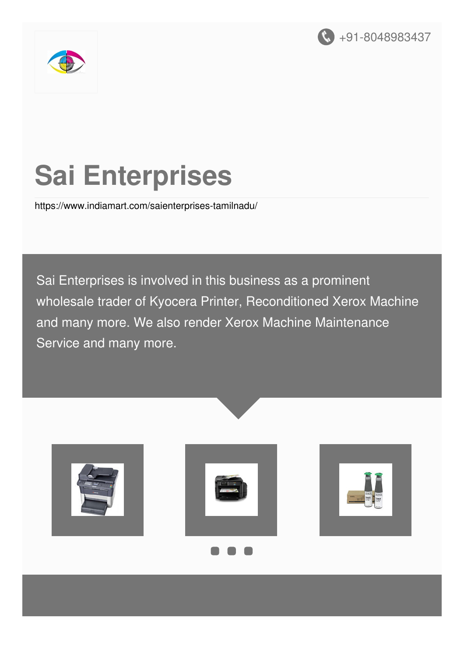



# **Sai Enterprises**

<https://www.indiamart.com/saienterprises-tamilnadu/>

Sai Enterprises is involved in this business as a prominent wholesale trader of Kyocera Printer, Reconditioned Xerox Machine and many more. We also render Xerox Machine Maintenance Service and many more.





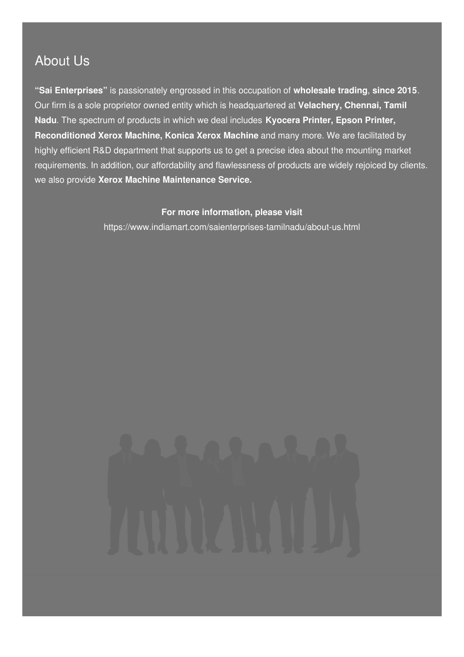### About Us

**"Sai Enterprises"** is passionately engrossed in this occupation of **wholesale trading**, **since 2015**. Our firm is a sole proprietor owned entity which is headquartered at **Velachery, Chennai, Tamil Nadu**. The spectrum of products in which we deal includes **Kyocera Printer, Epson Printer, Reconditioned Xerox Machine, Konica Xerox Machine** and many more. We are facilitated by highly efficient R&D department that supports us to get a precise idea about the mounting market requirements. In addition, our affordability and flawlessness of products are widely rejoiced by clients. we also provide **Xerox Machine Maintenance Service.**

#### **For more information, please visit**

<https://www.indiamart.com/saienterprises-tamilnadu/about-us.html>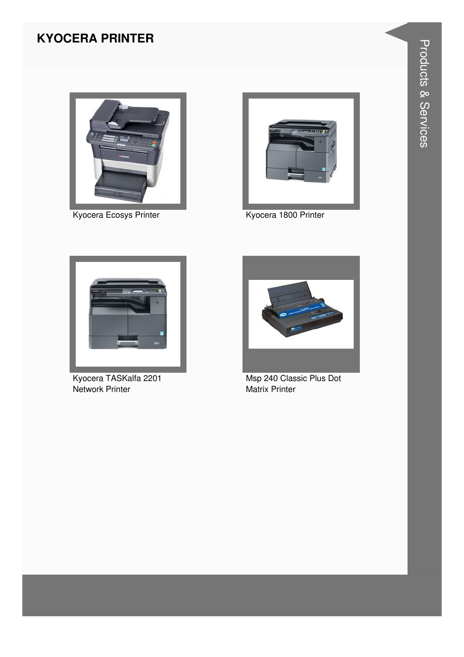#### **KYOCERA PRINTER**



Kyocera Ecosys Printer



Kyocera 1800 Printer



Kyocera TASKalfa 2201 Network Printer



Msp 240 Classic Plus Dot **Matrix Printer**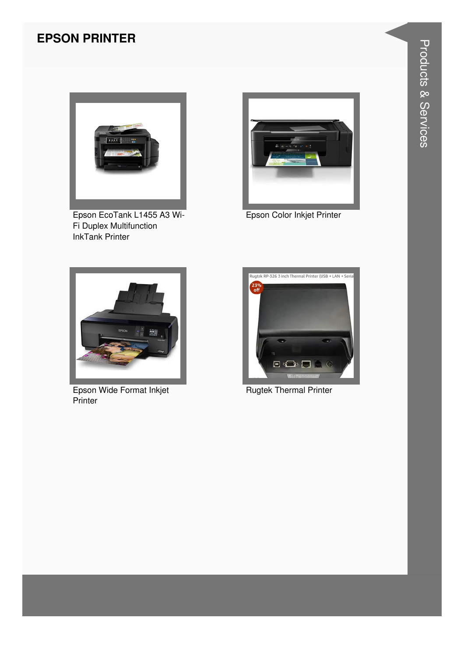#### **EPSON PRINTER**



Epson EcoTank L1455 A3 Wi-Fi Duplex Multifunction InkTank Printer



Epson Color Inkjet Printer



Epson Wide Format Inkjet **Printer** 



Rugtek Thermal Printer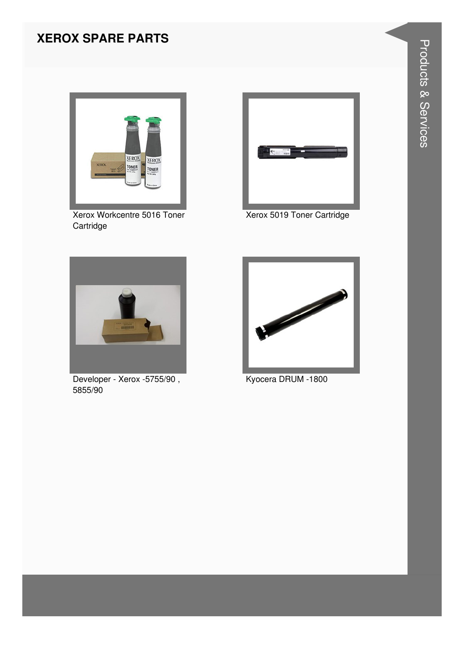#### **XEROX SPARE PARTS**



Xerox Workcentre 5016 Toner Cartridge



Xerox 5019 Toner Cartridge



Developer - Xerox -5755/90, 5855/90



Kyocera DRUM -1800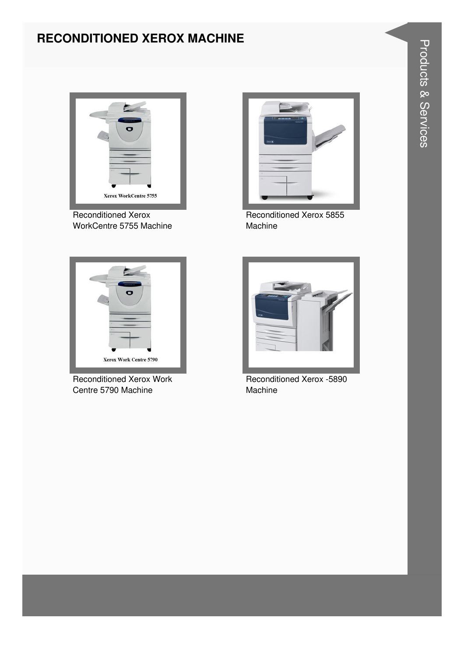#### **RECONDITIONED XEROX MACHINE**



Reconditioned Xerox WorkCentre 5755 Machine



Reconditioned Xerox 5855 Machine



Reconditioned Xerox Work Centre 5790 Machine



Reconditioned Xerox -5890 Machine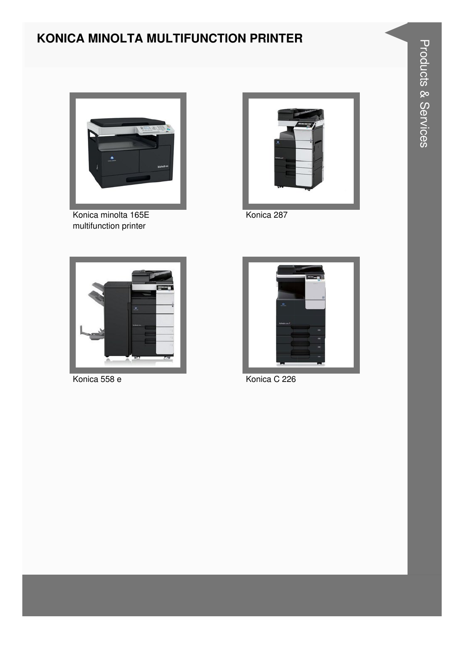#### KONICA MINOLTA MULTIFUNCTION PRINTER



Konica minolta 165E multifunction printer



Konica 287



Konica 558 e



Konica C 226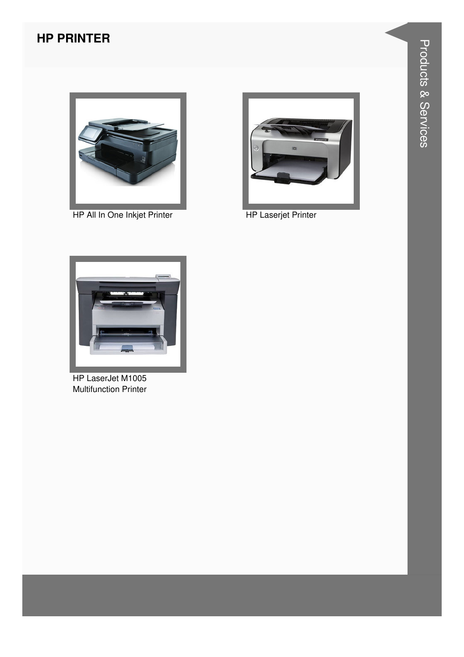#### **HP PRINTER**



HP All In One Inkjet Printer HP Laserjet Printer





HP LaserJet M1005 Multifunction Printer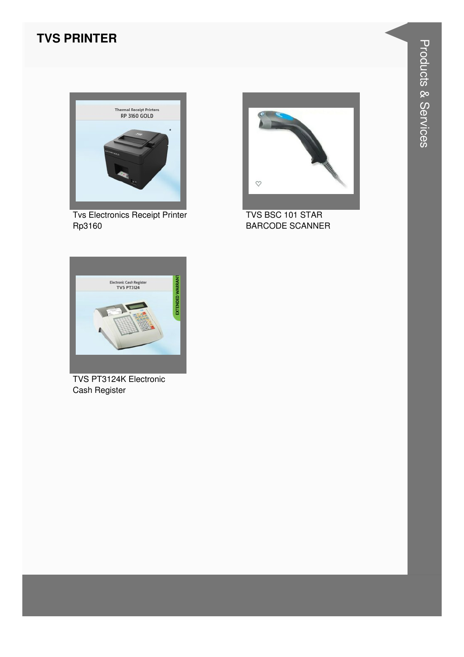#### **TVS PRINTER**



**Tvs Electronics Receipt Printer** Rp3160



TVS BSC 101 STAR **BARCODE SCANNER** 



TVS PT3124K Electronic Cash Register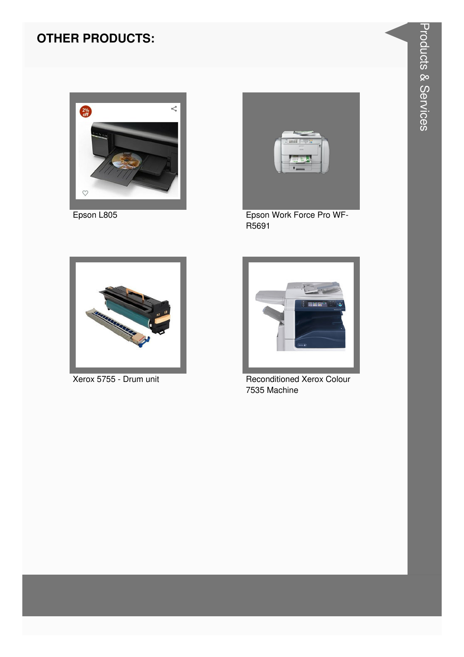#### **OTHER PRODUCTS:**





Epson L805 Epson Work Force Pro WF-R5691





**Xerox 5755 - Drum unit** Reconditioned Xerox Colour 7535 Machine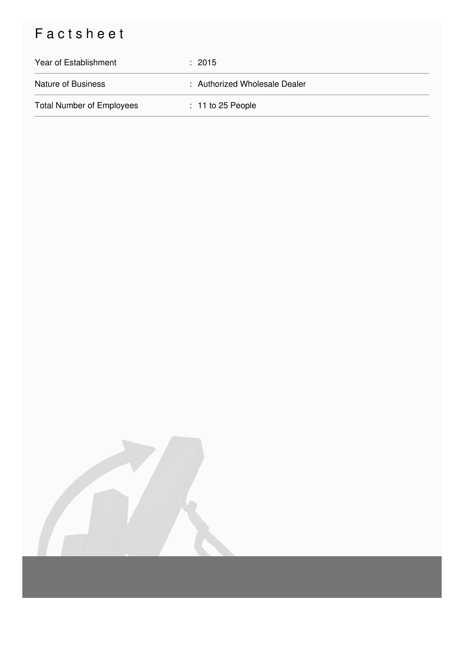## Factsheet

| Year of Establishment            | : 2015                        |
|----------------------------------|-------------------------------|
| <b>Nature of Business</b>        | : Authorized Wholesale Dealer |
| <b>Total Number of Employees</b> | $: 11$ to 25 People           |